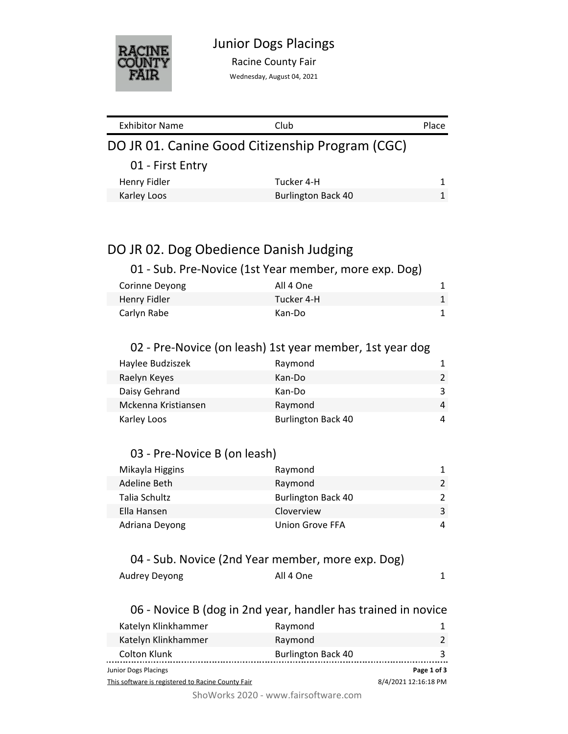

Racine County Fair

Wednesday, August 04, 2021

| <b>Exhibitor Name</b>                           | Club                      | Place |
|-------------------------------------------------|---------------------------|-------|
| DO JR 01. Canine Good Citizenship Program (CGC) |                           |       |
| 01 - First Entry                                |                           |       |
| Henry Fidler                                    | Tucker 4-H                | 1.    |
| Karley Loos                                     | <b>Burlington Back 40</b> |       |

# DO JR 02. Dog Obedience Danish Judging

## 01 - Sub. Pre-Novice (1st Year member, more exp. Dog)

| Corinne Devong | All 4 One  |  |
|----------------|------------|--|
| Henry Fidler   | Tucker 4-H |  |
| Carlyn Rabe    | Kan-Do     |  |

### 02 - Pre-Novice (on leash) 1st year member, 1st year dog

| Haylee Budziszek    | Raymond                   | 1.            |
|---------------------|---------------------------|---------------|
| Raelyn Keyes        | Kan-Do                    | $\mathcal{P}$ |
| Daisy Gehrand       | Kan-Do                    | 3             |
| Mckenna Kristiansen | Raymond                   | 4             |
| Karley Loos         | <b>Burlington Back 40</b> | 4             |

### 03 - Pre-Novice B (on leash)

| Mikayla Higgins | Raymond                   |  |
|-----------------|---------------------------|--|
| Adeline Beth    | Raymond                   |  |
| Talia Schultz   | <b>Burlington Back 40</b> |  |
| Ella Hansen     | Cloverview                |  |
| Adriana Deyong  | Union Grove FFA           |  |

### 04 - Sub. Novice (2nd Year member, more exp. Dog)

| Audrey Deyong<br>All 4 One |  |
|----------------------------|--|
|----------------------------|--|

### 06 - Novice B (dog in 2nd year, handler has trained in novice

| Katelyn Klinkhammer                               | Raymond                   |                      |
|---------------------------------------------------|---------------------------|----------------------|
| Katelyn Klinkhammer                               | Raymond                   |                      |
| Colton Klunk                                      | <b>Burlington Back 40</b> |                      |
| Junior Dogs Placings                              |                           | Page 1 of 3          |
| This software is registered to Racine County Fair |                           | 8/4/2021 12:16:18 PM |

ShoWorks 2020 - www.fairsoftware.com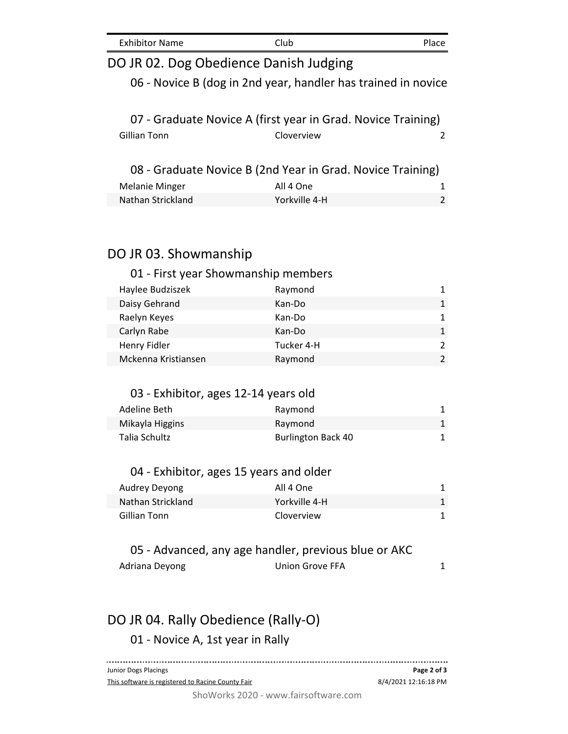| <b>Exhibitor Name</b> | Club | Place |
|-----------------------|------|-------|
|-----------------------|------|-------|

| Exhibitor Name                            | Ciup                                                          | <b>Place</b>      |
|-------------------------------------------|---------------------------------------------------------------|-------------------|
| DO JR 02. Dog Obedience Danish Judging    |                                                               |                   |
|                                           | 06 - Novice B (dog in 2nd year, handler has trained in novice |                   |
|                                           | 07 - Graduate Novice A (first year in Grad. Novice Training)  |                   |
| <b>Gillian Tonn</b>                       | Cloverview                                                    | 2                 |
|                                           | 08 - Graduate Novice B (2nd Year in Grad. Novice Training)    |                   |
| <b>Melanie Minger</b>                     | All 4 One                                                     | 1                 |
| Nathan Strickland                         | Yorkville 4-H                                                 | 2                 |
|                                           |                                                               |                   |
| DO JR 03. Showmanship                     |                                                               |                   |
| 01 - First year Showmanship members       |                                                               |                   |
| Haylee Budziszek                          | Raymond                                                       | 1                 |
| Daisy Gehrand                             | Kan-Do                                                        | $\mathbf{1}$      |
| Raelyn Keyes                              | Kan-Do                                                        | $\mathbf{1}$      |
| Carlyn Rabe                               | Kan-Do                                                        | $\mathbf{1}$      |
| Henry Fidler                              | Tucker 4-H                                                    | 2                 |
| Mckenna Kristiansen                       | Raymond                                                       | $\overline{2}$    |
|                                           |                                                               |                   |
| 03 - Exhibitor, ages 12-14 years old      |                                                               |                   |
| Adeline Beth                              | Raymond                                                       | 1                 |
| Mikayla Higgins                           | Raymond                                                       | $\mathbf{1}$      |
| <b>Talia Schultz</b>                      | <b>Burlington Back 40</b>                                     | 1                 |
| 04 - Exhibitor, ages 15 years and older   |                                                               |                   |
|                                           | All 4 One                                                     |                   |
| <b>Audrey Deyong</b><br>Nathan Strickland | Yorkville 4-H                                                 | 1<br>$\mathbf{1}$ |
| <b>Gillian Tonn</b>                       | Cloverview                                                    | 1                 |
|                                           |                                                               |                   |
|                                           | 05 - Advanced, any age handler, previous blue or AKC          |                   |
|                                           |                                                               |                   |

#### Adriana Deyong **1** Union Grove FFA 1

# DO JR 04. Rally Obedience (Rally-O)

01 - Novice A, 1st year in Rally

Junior Dogs Placings **Page 2 of 3** This software is registered to Racine County Fair 8/4/2021 12:16:18 PM

ShoWorks 2020 - www.fairsoftware.com